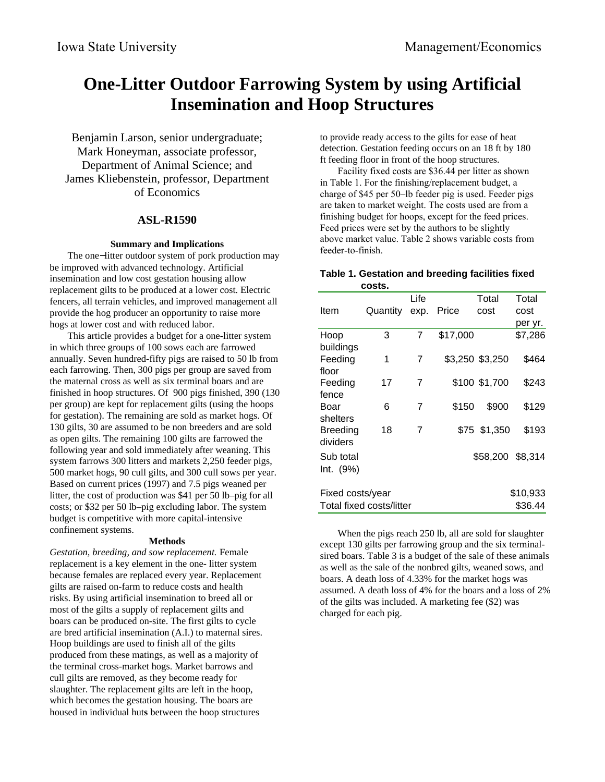# **One-Litter Outdoor Farrowing System by using Artificial Insemination and Hoop Structures**

Benjamin Larson, senior undergraduate; Mark Honeyman, associate professor, Department of Animal Science; and James Kliebenstein, professor, Department of Economics

### **ASL-R1590**

#### **Summary and Implications**

The one−litter outdoor system of pork production may be improved with advanced technology. Artificial insemination and low cost gestation housing allow replacement gilts to be produced at a lower cost. Electric fencers, all terrain vehicles, and improved management all provide the hog producer an opportunity to raise more hogs at lower cost and with reduced labor.

This article provides a budget for a one-litter system in which three groups of 100 sows each are farrowed annually. Seven hundred-fifty pigs are raised to 50 lb from each farrowing. Then, 300 pigs per group are saved from the maternal cross as well as six terminal boars and are finished in hoop structures. Of 900 pigs finished, 390 (130 per group) are kept for replacement gilts (using the hoops for gestation). The remaining are sold as market hogs. Of 130 gilts, 30 are assumed to be non breeders and are sold as open gilts. The remaining 100 gilts are farrowed the following year and sold immediately after weaning. This system farrows 300 litters and markets 2,250 feeder pigs, 500 market hogs, 90 cull gilts, and 300 cull sows per year. Based on current prices (1997) and 7.5 pigs weaned per litter, the cost of production was \$41 per 50 lb–pig for all costs; or \$32 per 50 lb–pig excluding labor. The system budget is competitive with more capital-intensive confinement systems.

#### **Methods**

*Gestation, breeding, and sow replacement.* Female replacement is a key element in the one- litter system because females are replaced every year. Replacement gilts are raised on-farm to reduce costs and health risks. By using artificial insemination to breed all or most of the gilts a supply of replacement gilts and boars can be produced on-site. The first gilts to cycle are bred artificial insemination (A.I.) to maternal sires. Hoop buildings are used to finish all of the gilts produced from these matings, as well as a majority of the terminal cross-market hogs. Market barrows and cull gilts are removed, as they become ready for slaughter. The replacement gilts are left in the hoop, which becomes the gestation housing. The boars are housed in individual hut**s** between the hoop structures

to provide ready access to the gilts for ease of heat detection. Gestation feeding occurs on an 18 ft by 180 ft feeding floor in front of the hoop structures.

Facility fixed costs are \$36.44 per litter as shown in Table 1. For the finishing/replacement budget, a charge of \$45 per 50–lb feeder pig is used. Feeder pigs are taken to market weight. The costs used are from a finishing budget for hoops, except for the feed prices. Feed prices were set by the authors to be slightly above market value. Table 2 shows variable costs from feeder-to-finish.

### **Table 1. Gestation and breeding facilities fixed costs.**

|                  |                          | Life |          | Total            | Total    |
|------------------|--------------------------|------|----------|------------------|----------|
| Item             | Quantity                 | exp. | Price    | cost             | cost     |
|                  |                          |      |          |                  | per yr.  |
| Hoop             | 3                        | 7    | \$17,000 |                  | \$7,286  |
| buildings        |                          |      |          |                  |          |
| Feeding          | 1                        | 7    |          | \$3,250 \$3,250  | \$464    |
| floor            |                          |      |          |                  |          |
| Feeding          | 17                       | 7    |          | \$100 \$1,700    | \$243    |
| fence            |                          |      |          |                  |          |
| Boar             | 6                        | 7    | \$150    | \$900            | \$129    |
| shelters         |                          |      |          |                  |          |
| Breeding         | 18                       | 7    |          | \$75 \$1,350     | \$193    |
| dividers         |                          |      |          |                  |          |
| Sub total        |                          |      |          | \$58,200 \$8,314 |          |
| Int. (9%)        |                          |      |          |                  |          |
|                  |                          |      |          |                  |          |
| Fixed costs/year |                          |      |          |                  | \$10,933 |
|                  | Total fixed costs/litter |      |          |                  | \$36.44  |
|                  |                          |      |          |                  |          |

When the pigs reach 250 lb, all are sold for slaughter except 130 gilts per farrowing group and the six terminalsired boars. Table 3 is a budget of the sale of these animals as well as the sale of the nonbred gilts, weaned sows, and boars. A death loss of 4.33% for the market hogs was assumed. A death loss of 4% for the boars and a loss of 2% of the gilts was included. A marketing fee (\$2) was charged for each pig.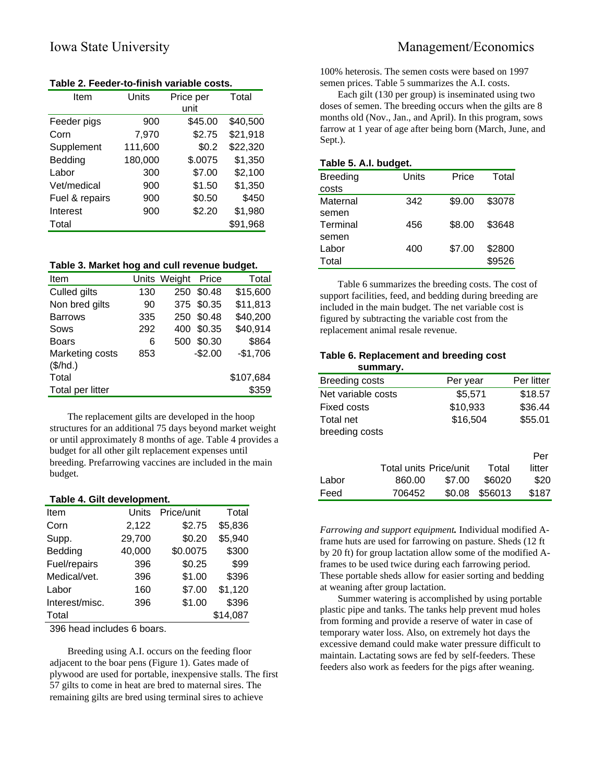| Item           | Units   | Price per | Total    |
|----------------|---------|-----------|----------|
|                |         | unit      |          |
| Feeder pigs    | 900     | \$45.00   | \$40,500 |
| Corn           | 7,970   | \$2.75    | \$21,918 |
| Supplement     | 111,600 | \$0.2     | \$22,320 |
| Bedding        | 180,000 | \$.0075   | \$1,350  |
| Labor          | 300     | \$7.00    | \$2,100  |
| Vet/medical    | 900     | \$1.50    | \$1,350  |
| Fuel & repairs | 900     | \$0.50    | \$450    |
| Interest       | 900     | \$2.20    | \$1,980  |
| Total          |         |           | \$91,968 |

**Table 2. Feeder-to-finish variable costs.**

### **Table 3. Market hog and cull revenue budget.**

| Item             |     | Units Weight | Price      | Total     |
|------------------|-----|--------------|------------|-----------|
| Culled gilts     | 130 | 250          | \$0.48     | \$15,600  |
| Non bred gilts   | 90  |              | 375 \$0.35 | \$11,813  |
| <b>Barrows</b>   | 335 |              | 250 \$0.48 | \$40,200  |
| Sows             | 292 | 400          | \$0.35     | \$40,914  |
| <b>Boars</b>     | 6   | 500          | \$0.30     | \$864     |
| Marketing costs  | 853 |              | $-$2.00$   | $-$1,706$ |
| (\$/hd.)         |     |              |            |           |
| Total            |     |              |            | \$107,684 |
| Total per litter |     |              |            | \$359     |
|                  |     |              |            |           |

The replacement gilts are developed in the hoop structures for an additional 75 days beyond market weight or until approximately 8 months of age. Table 4 provides a budget for all other gilt replacement expenses until breeding. Prefarrowing vaccines are included in the main budget.

#### **Table 4. Gilt development.**

| Item           | Units  | Price/unit | Total    |
|----------------|--------|------------|----------|
| Corn           | 2,122  | \$2.75     | \$5,836  |
| Supp.          | 29,700 | \$0.20     | \$5,940  |
| Bedding        | 40,000 | \$0.0075   | \$300    |
| Fuel/repairs   | 396    | \$0.25     | \$99     |
| Medical/vet.   | 396    | \$1.00     | \$396    |
| Labor          | 160    | \$7.00     | \$1,120  |
| Interest/misc. | 396    | \$1.00     | \$396    |
| Total          |        |            | \$14,087 |

396 head includes 6 boars.

Breeding using A.I. occurs on the feeding floor adjacent to the boar pens (Figure 1). Gates made of plywood are used for portable, inexpensive stalls. The first 57 gilts to come in heat are bred to maternal sires. The remaining gilts are bred using terminal sires to achieve

100% heterosis. The semen costs were based on 1997 semen prices. Table 5 summarizes the A.I. costs.

Each gilt (130 per group) is inseminated using two doses of semen. The breeding occurs when the gilts are 8 months old (Nov., Jan., and April). In this program, sows farrow at 1 year of age after being born (March, June, and Sept.).

### **Table 5. A.I. budget.**

| <b>Breeding</b> | Units | Price  | Total  |
|-----------------|-------|--------|--------|
| costs           |       |        |        |
| Maternal        | 342   | \$9.00 | \$3078 |
| semen           |       |        |        |
| Terminal        | 456   | \$8.00 | \$3648 |
| semen           |       |        |        |
| Labor           | 400   | \$7.00 | \$2800 |
| Total           |       |        | \$9526 |
|                 |       |        |        |

Table 6 summarizes the breeding costs. The cost of support facilities, feed, and bedding during breeding are included in the main budget. The net variable cost is figured by subtracting the variable cost from the replacement animal resale revenue.

# **Table 6. Replacement and breeding cost**

|                    | summary.               |          |         |            |
|--------------------|------------------------|----------|---------|------------|
| Breeding costs     |                        | Per year |         | Per litter |
| Net variable costs |                        | \$5,571  |         | \$18.57    |
| Fixed costs        |                        | \$10,933 |         | \$36.44    |
| Total net          |                        | \$16,504 |         | \$55.01    |
| breeding costs     |                        |          |         |            |
|                    |                        |          |         |            |
|                    |                        |          |         | Per        |
|                    | Total units Price/unit |          | Total   | litter     |
| Labor              | 860.00                 | \$7.00   | \$6020  | \$20       |
| Feed               | 706452                 | \$0.08   | \$56013 | \$187      |

*Farrowing and support equipment.* Individual modified Aframe huts are used for farrowing on pasture. Sheds (12 ft by 20 ft) for group lactation allow some of the modified Aframes to be used twice during each farrowing period. These portable sheds allow for easier sorting and bedding at weaning after group lactation.

Summer watering is accomplished by using portable plastic pipe and tanks. The tanks help prevent mud holes from forming and provide a reserve of water in case of temporary water loss. Also, on extremely hot days the excessive demand could make water pressure difficult to maintain. Lactating sows are fed by self-feeders. These feeders also work as feeders for the pigs after weaning.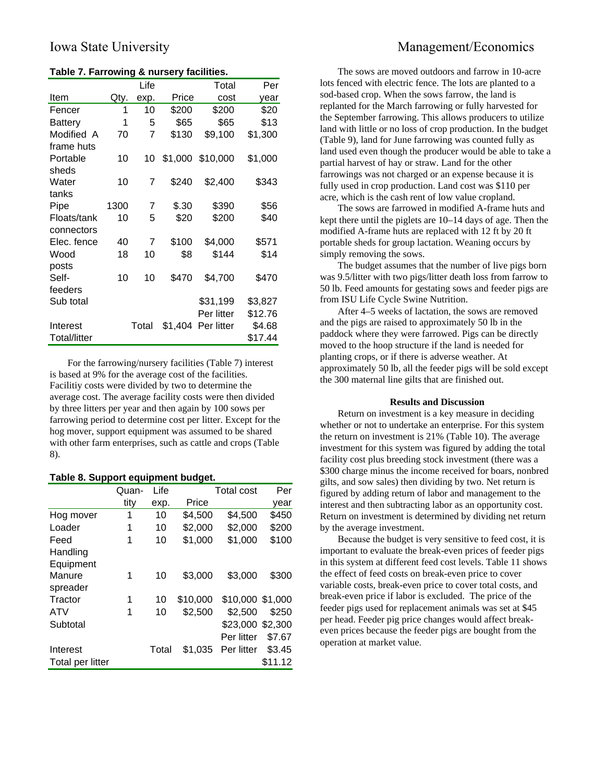### **Table 7. Farrowing & nursery facilities.**

|              |      | Life  |         | Total            | Per     |
|--------------|------|-------|---------|------------------|---------|
| Item         | Qty. | exp.  | Price   | cost             | year    |
| Fencer       | 1    | 10    | \$200   | \$200            | \$20    |
| Battery      | 1    | 5     | \$65    | \$65             | \$13    |
| Modified A   | 70   | 7     | \$130   | \$9,100          | \$1,300 |
| frame huts   |      |       |         |                  |         |
| Portable     | 10   | 10    |         | \$1,000 \$10,000 | \$1,000 |
| sheds        |      |       |         |                  |         |
| Water        | 10   | 7     | \$240   | \$2,400          | \$343   |
| tanks        |      |       |         |                  |         |
| Pipe         | 1300 | 7     | \$.30   | \$390            | \$56    |
| Floats/tank  | 10   | 5     | \$20    | \$200            | \$40    |
| connectors   |      |       |         |                  |         |
| Elec. fence  | 40   | 7     | \$100   | \$4,000          | \$571   |
| Wood         | 18   | 10    | \$8     | \$144            | \$14    |
| posts        |      |       |         |                  |         |
| Self-        | 10   | 10    | \$470   | \$4,700          | \$470   |
| feeders      |      |       |         |                  |         |
| Sub total    |      |       |         | \$31,199         | \$3,827 |
|              |      |       |         | Per litter       | \$12.76 |
| Interest     |      | Total | \$1,404 | Per litter       | \$4.68  |
| Total/litter |      |       |         |                  | \$17.44 |

For the farrowing/nursery facilities (Table 7) interest is based at 9% for the average cost of the facilities. Facilitiy costs were divided by two to determine the average cost. The average facility costs were then divided by three litters per year and then again by 100 sows per farrowing period to determine cost per litter. Except for the hog mover, support equipment was assumed to be shared with other farm enterprises, such as cattle and crops (Table 8).

### **Table 8. Support equipment budget.**

|                  | Quan- | Life  |          | Total cost       | Per     |
|------------------|-------|-------|----------|------------------|---------|
|                  | tity  | exp.  | Price    |                  | vear    |
| Hog mover        | 1     | 10    | \$4,500  | \$4,500          | \$450   |
| Loader           | 1     | 10    | \$2,000  | \$2,000          | \$200   |
| Feed             | 1     | 10    | \$1,000  | \$1,000          | \$100   |
| Handling         |       |       |          |                  |         |
| Equipment        |       |       |          |                  |         |
| Manure           | 1     | 10    | \$3.000  | \$3,000          | \$300   |
| spreader         |       |       |          |                  |         |
| Tractor          | 1     | 10    | \$10,000 | \$10,000 \$1,000 |         |
| ATV              | 1     | 10    | \$2,500  | \$2,500          | \$250   |
| Subtotal         |       |       |          | \$23,000 \$2,300 |         |
|                  |       |       |          | Per litter       | \$7.67  |
| Interest         |       | Total | \$1,035  | Per litter       | \$3.45  |
| Total per litter |       |       |          |                  | \$11.12 |

# Iowa State University Management/Economics

The sows are moved outdoors and farrow in 10-acre lots fenced with electric fence. The lots are planted to a sod-based crop. When the sows farrow, the land is replanted for the March farrowing or fully harvested for the September farrowing. This allows producers to utilize land with little or no loss of crop production. In the budget (Table 9), land for June farrowing was counted fully as land used even though the producer would be able to take a partial harvest of hay or straw. Land for the other farrowings was not charged or an expense because it is fully used in crop production. Land cost was \$110 per acre, which is the cash rent of low value cropland.

The sows are farrowed in modified A-frame huts and kept there until the piglets are 10–14 days of age. Then the modified A-frame huts are replaced with 12 ft by 20 ft portable sheds for group lactation. Weaning occurs by simply removing the sows.

The budget assumes that the number of live pigs born was 9.5/litter with two pigs/litter death loss from farrow to 50 lb. Feed amounts for gestating sows and feeder pigs are from ISU Life Cycle Swine Nutrition.

After 4–5 weeks of lactation, the sows are removed and the pigs are raised to approximately 50 lb in the paddock where they were farrowed. Pigs can be directly moved to the hoop structure if the land is needed for planting crops, or if there is adverse weather. At approximately 50 lb, all the feeder pigs will be sold except the 300 maternal line gilts that are finished out.

### **Results and Discussion**

Return on investment is a key measure in deciding whether or not to undertake an enterprise. For this system the return on investment is 21% (Table 10). The average investment for this system was figured by adding the total facility cost plus breeding stock investment (there was a \$300 charge minus the income received for boars, nonbred gilts, and sow sales) then dividing by two. Net return is figured by adding return of labor and management to the interest and then subtracting labor as an opportunity cost. Return on investment is determined by dividing net return by the average investment.

Because the budget is very sensitive to feed cost, it is important to evaluate the break-even prices of feeder pigs in this system at different feed cost levels. Table 11 shows the effect of feed costs on break-even price to cover variable costs, break-even price to cover total costs, and break-even price if labor is excluded. The price of the feeder pigs used for replacement animals was set at \$45 per head. Feeder pig price changes would affect breakeven prices because the feeder pigs are bought from the operation at market value.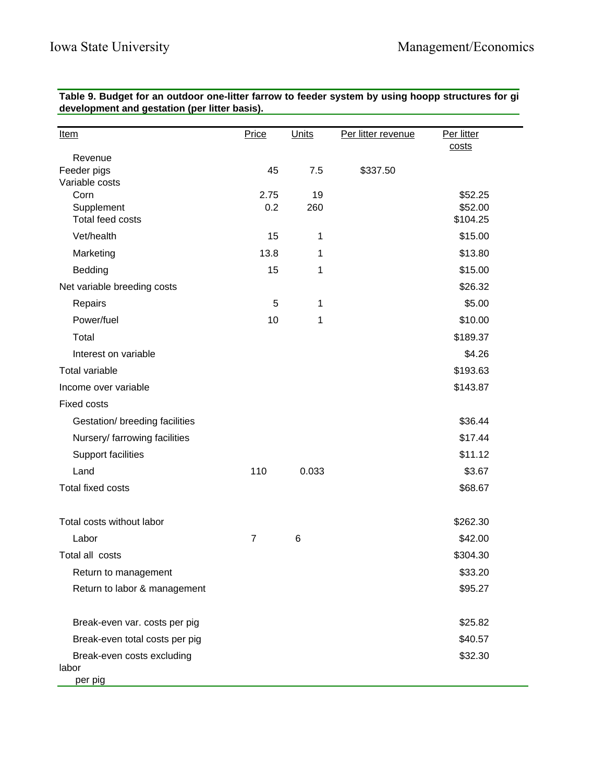**Table 9. Budget for an outdoor one-litter farrow to feeder system by using hoopp structures for gi development and gestation (per litter basis).**

| <u>Item</u>                         | Price | Units | Per litter revenue | Per litter<br>costs |
|-------------------------------------|-------|-------|--------------------|---------------------|
| Revenue                             |       |       |                    |                     |
| Feeder pigs                         | 45    | 7.5   | \$337.50           |                     |
| Variable costs<br>Corn              | 2.75  | 19    |                    | \$52.25             |
| Supplement                          | 0.2   | 260   |                    | \$52.00             |
| Total feed costs                    |       |       |                    | \$104.25            |
| Vet/health                          | 15    | 1     |                    | \$15.00             |
| Marketing                           | 13.8  | 1     |                    | \$13.80             |
| Bedding                             | 15    | 1     |                    | \$15.00             |
| Net variable breeding costs         |       |       |                    | \$26.32             |
| Repairs                             | 5     | 1     |                    | \$5.00              |
| Power/fuel                          | 10    | 1     |                    | \$10.00             |
| Total                               |       |       |                    | \$189.37            |
| Interest on variable                |       |       |                    | \$4.26              |
| Total variable                      |       |       |                    | \$193.63            |
| Income over variable                |       |       |                    | \$143.87            |
| <b>Fixed costs</b>                  |       |       |                    |                     |
| Gestation/ breeding facilities      |       |       |                    | \$36.44             |
| Nursery/ farrowing facilities       |       |       |                    | \$17.44             |
| Support facilities                  |       |       |                    | \$11.12             |
| Land                                | 110   | 0.033 |                    | \$3.67              |
| Total fixed costs                   |       |       |                    | \$68.67             |
| Total costs without labor           |       |       |                    | \$262.30            |
| Labor                               | 7     | 6     |                    | \$42.00             |
| Total all costs                     |       |       |                    | \$304.30            |
| Return to management                |       |       |                    | \$33.20             |
| Return to labor & management        |       |       |                    | \$95.27             |
| Break-even var. costs per pig       |       |       |                    | \$25.82             |
| Break-even total costs per pig      |       |       |                    | \$40.57             |
| Break-even costs excluding<br>labor |       |       |                    | \$32.30             |
| per pig                             |       |       |                    |                     |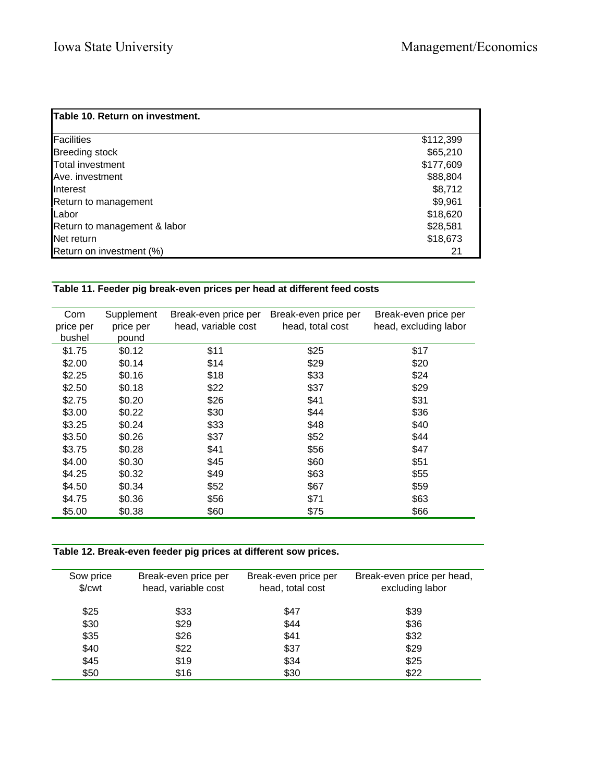| Table 10. Return on investment. |           |
|---------------------------------|-----------|
| Facilities                      | \$112,399 |
| <b>Breeding stock</b>           | \$65,210  |
| Total investment                | \$177,609 |
| Ave. investment                 | \$88,804  |
| <b>I</b> Interest               | \$8,712   |
| Return to management            | \$9,961   |
| <b>ILabor</b>                   | \$18,620  |
| Return to management & labor    | \$28,581  |
| <b>Net return</b>               | \$18,673  |
| Return on investment (%)        | 21        |

## **Table 11. Feeder pig break-even prices per head at different feed costs**

| Corn      | Supplement | Break-even price per | Break-even price per | Break-even price per  |
|-----------|------------|----------------------|----------------------|-----------------------|
| price per | price per  | head, variable cost  | head, total cost     | head, excluding labor |
| bushel    | pound      |                      |                      |                       |
| \$1.75    | \$0.12     | \$11                 | \$25                 | \$17                  |
| \$2.00    | \$0.14     | \$14                 | \$29                 | \$20                  |
| \$2.25    | \$0.16     | \$18                 | \$33                 | \$24                  |
| \$2.50    | \$0.18     | \$22                 | \$37                 | \$29                  |
| \$2.75    | \$0.20     | \$26                 | \$41                 | \$31                  |
| \$3.00    | \$0.22     | \$30                 | \$44                 | \$36                  |
| \$3.25    | \$0.24     | \$33                 | \$48                 | \$40                  |
| \$3.50    | \$0.26     | \$37                 | \$52                 | \$44                  |
| \$3.75    | \$0.28     | \$41                 | \$56                 | \$47                  |
| \$4.00    | \$0.30     | \$45                 | \$60                 | \$51                  |
| \$4.25    | \$0.32     | \$49                 | \$63                 | \$55                  |
| \$4.50    | \$0.34     | \$52                 | \$67                 | \$59                  |
| \$4.75    | \$0.36     | \$56                 | \$71                 | \$63                  |
| \$5.00    | \$0.38     | \$60                 | \$75                 | \$66                  |

**Table 12. Break-even feeder pig prices at different sow prices.**

| Sow price<br>\$/ <sub>cut</sub> | Break-even price per<br>head, variable cost | Break-even price per<br>head, total cost | Break-even price per head,<br>excluding labor |
|---------------------------------|---------------------------------------------|------------------------------------------|-----------------------------------------------|
| \$25                            | \$33                                        | \$47                                     | \$39                                          |
| \$30                            | \$29                                        | \$44                                     | \$36                                          |
| \$35                            | \$26                                        | \$41                                     | \$32                                          |
| \$40                            | \$22                                        | \$37                                     | \$29                                          |
| \$45                            | \$19                                        | \$34                                     | \$25                                          |
| \$50                            | \$16                                        | \$30                                     | \$22                                          |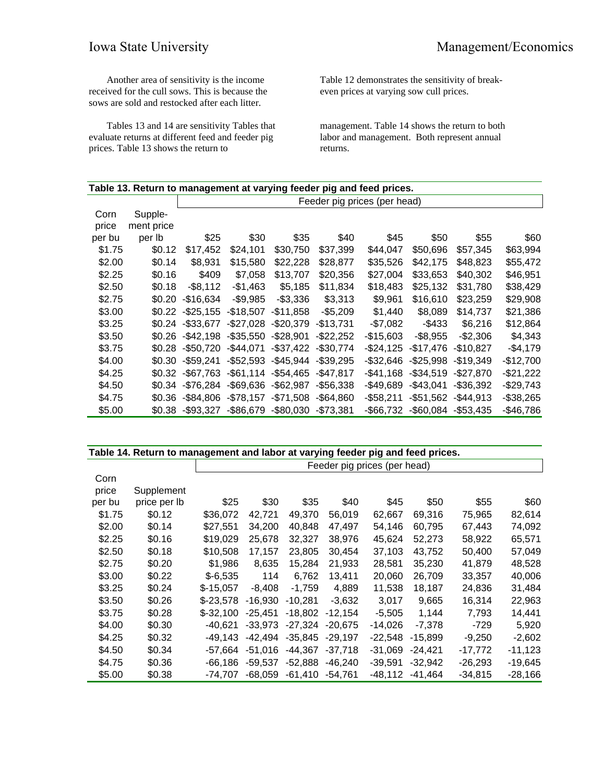Another area of sensitivity is the income received for the cull sows. This is because the sows are sold and restocked after each litter.

Tables 13 and 14 are sensitivity Tables that evaluate returns at different feed and feeder pig prices. Table 13 shows the return to

Table 12 demonstrates the sensitivity of breakeven prices at varying sow cull prices.

management. Table 14 shows the return to both labor and management. Both represent annual returns.

| Table 13. Return to management at varying feeder pig and feed prices. |            |                              |              |              |              |              |              |            |              |  |  |
|-----------------------------------------------------------------------|------------|------------------------------|--------------|--------------|--------------|--------------|--------------|------------|--------------|--|--|
|                                                                       |            | Feeder pig prices (per head) |              |              |              |              |              |            |              |  |  |
| Corn                                                                  | Supple-    |                              |              |              |              |              |              |            |              |  |  |
| price                                                                 | ment price |                              |              |              |              |              |              |            |              |  |  |
| per bu                                                                | per lb     | \$25                         | \$30         | \$35         | \$40         | \$45         | \$50         | \$55       | \$60         |  |  |
| \$1.75                                                                | \$0.12     | \$17,452                     | \$24,101     | \$30,750     | \$37,399     | \$44,047     | \$50,696     | \$57,345   | \$63,994     |  |  |
| \$2.00                                                                | \$0.14     | \$8,931                      | \$15,580     | \$22,228     | \$28,877     | \$35,526     | \$42,175     | \$48,823   | \$55,472     |  |  |
| \$2.25                                                                | \$0.16     | \$409                        | \$7,058      | \$13,707     | \$20,356     | \$27,004     | \$33,653     | \$40,302   | \$46,951     |  |  |
| \$2.50                                                                | \$0.18     | $-$ \$8,112                  | $-$1,463$    | \$5,185      | \$11,834     | \$18,483     | \$25,132     | \$31,780   | \$38,429     |  |  |
| \$2.75                                                                | \$0.20     | $-$16,634$                   | $-$9,985$    | $-$3,336$    | \$3,313      | \$9,961      | \$16,610     | \$23,259   | \$29,908     |  |  |
| \$3.00                                                                | \$0.22     | $-$ \$25,155                 | $-$18,507$   | $-$11.858$   | $-$5,209$    | \$1,440      | \$8,089      | \$14,737   | \$21,386     |  |  |
| \$3.25                                                                | \$0.24     | $-$ \$33.677                 | $-$27,028$   | $-$20,379$   | $-$13,731$   | -\$7,082     | $-$433$      | \$6,216    | \$12,864     |  |  |
| \$3.50                                                                | \$0.26     | $-$ \$42.198                 | $-$ \$35,550 | $-$28,901$   | $-$22,252$   | -\$15,603    | $-$ \$8,955  | $-$2,306$  | \$4,343      |  |  |
| \$3.75                                                                | \$0.28     | $-$ \$50,720                 | $-$44,071$   | $-$37,422$   | $-$30,774$   | $-$24,125$   | -\$17,476    | $-$10,827$ | $-$4,179$    |  |  |
| \$4.00                                                                | \$0.30     | $-$59,241$                   | $-$52,593$   | $-$ \$45,944 | $-$39,295$   | $-$ \$32,646 | $-$25,998$   | $-$19,349$ | $-$12,700$   |  |  |
| \$4.25                                                                | \$0.32     | $-$67,763$                   | $-$ \$61,114 | $-$54,465$   | $-$47,817$   | -\$41,168    | $-$34,519$   | $-$27,870$ | $-$21,222$   |  |  |
| \$4.50                                                                | \$0.34     | $-$76,284$                   | $-$ \$69,636 | $-$ \$62,987 | $-$56,338$   | -\$49,689    | $-$43,041$   | $-$36,392$ | $-$29,743$   |  |  |
| \$4.75                                                                | \$0.36     | $-$ \$84.806                 | $-$78,157$   | $-$71,508$   | $-$ \$64.860 | $-$58,211$   | $-$51,562$   | $-$44,913$ | $-$ \$38,265 |  |  |
| \$5.00                                                                | \$0.38     | $-$93,327$                   | $-$ \$86,679 | $-$ \$80,030 | $-$73,381$   | -\$66,732    | $-$ \$60,084 | $-$53,435$ | $-$46,786$   |  |  |

| Table 14. Return to management and labor at varying feeder pig and feed prices. |              |                              |           |           |           |           |           |           |           |  |  |
|---------------------------------------------------------------------------------|--------------|------------------------------|-----------|-----------|-----------|-----------|-----------|-----------|-----------|--|--|
|                                                                                 |              | Feeder pig prices (per head) |           |           |           |           |           |           |           |  |  |
| Corn                                                                            |              |                              |           |           |           |           |           |           |           |  |  |
| price                                                                           | Supplement   |                              |           |           |           |           |           |           |           |  |  |
| per bu                                                                          | price per Ib | \$25                         | \$30      | \$35      | \$40      | \$45      | \$50      | \$55      | \$60      |  |  |
| \$1.75                                                                          | \$0.12       | \$36,072                     | 42,721    | 49,370    | 56,019    | 62,667    | 69,316    | 75,965    | 82,614    |  |  |
| \$2.00                                                                          | \$0.14       | \$27,551                     | 34,200    | 40,848    | 47,497    | 54,146    | 60,795    | 67,443    | 74,092    |  |  |
| \$2.25                                                                          | \$0.16       | \$19,029                     | 25,678    | 32,327    | 38,976    | 45,624    | 52,273    | 58,922    | 65,571    |  |  |
| \$2.50                                                                          | \$0.18       | \$10,508                     | 17,157    | 23,805    | 30,454    | 37,103    | 43.752    | 50,400    | 57,049    |  |  |
| \$2.75                                                                          | \$0.20       | \$1,986                      | 8,635     | 15,284    | 21,933    | 28,581    | 35,230    | 41,879    | 48,528    |  |  |
| \$3.00                                                                          | \$0.22       | $$-6,535$                    | 114       | 6,762     | 13,411    | 20,060    | 26,709    | 33,357    | 40,006    |  |  |
| \$3.25                                                                          | \$0.24       | $$-15,057$                   | $-8,408$  | $-1,759$  | 4,889     | 11,538    | 18,187    | 24,836    | 31,484    |  |  |
| \$3.50                                                                          | \$0.26       | $$-23,578$                   | -16,930   | $-10,281$ | $-3,632$  | 3,017     | 9,665     | 16,314    | 22,963    |  |  |
| \$3.75                                                                          | \$0.28       | $$-32,100$                   | $-25.451$ | $-18,802$ | $-12,154$ | $-5,505$  | 1,144     | 7,793     | 14,441    |  |  |
| \$4.00                                                                          | \$0.30       | $-40,621$                    | -33,973   | $-27,324$ | $-20,675$ | $-14,026$ | $-7,378$  | $-729$    | 5,920     |  |  |
| \$4.25                                                                          | \$0.32       | $-49,143$                    | $-42,494$ | $-35,845$ | $-29,197$ | $-22,548$ | $-15,899$ | $-9,250$  | $-2,602$  |  |  |
| \$4.50                                                                          | \$0.34       | -57,664                      | $-51,016$ | -44.367   | $-37,718$ | $-31,069$ | $-24,421$ | -17,772   | -11,123   |  |  |
| \$4.75                                                                          | \$0.36       | $-66,186$                    | -59,537   | $-52,888$ | $-46,240$ | $-39,591$ | $-32,942$ | $-26,293$ | $-19,645$ |  |  |
| \$5.00                                                                          | \$0.38       | -74.707                      | -68,059   | $-61,410$ | $-54,761$ | $-48,112$ | $-41,464$ | $-34,815$ | $-28,166$ |  |  |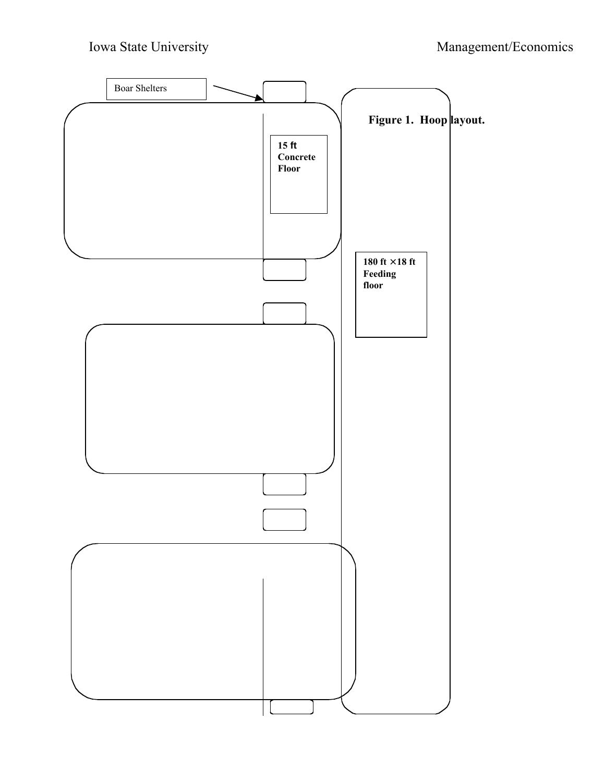